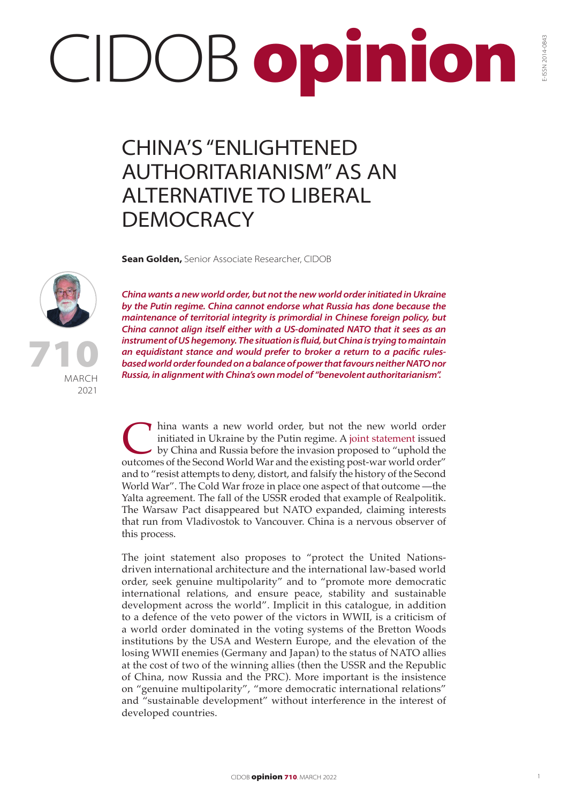## CIDOB opinion

## CHINA'S "ENLIGHTENED AUTHORITARIANISM" AS AN ALTERNATIVE TO LIBERAL **DEMOCRACY**

**Sean Golden,** Senior Associate Researcher, CIDOB



MARCH 2021 710 *China wants a new world order, but not the new world order initiated in Ukraine by the Putin regime. China cannot endorse what Russia has done because the maintenance of territorial integrity is primordial in Chinese foreign policy, but China cannot align itself either with a US-dominated NATO that it sees as an instrument of US hegemony. The situation is fluid, but China is trying to maintain an equidistant stance and would prefer to broker a return to a pacific rulesbased world order founded on a balance of power that favours neither NATO nor Russia, in alignment with China's own model of "benevolent authoritarianism".*

Thina wants a new world order, but not [the new world](http://en.kremlin.ru/supplement/5770) order initiated in Ukraine by the Putin regime. A joint statement issued by China and Russia before the invasion proposed to "uphold the outcomes of the Second World War initiated in Ukraine by the Putin regime. A joint statement issued by China and Russia before the invasion proposed to "uphold the outcomes of the Second World War and the existing post-war world order" and to "resist attempts to deny, distort, and falsify the history of the Second World War". The Cold War froze in place one aspect of that outcome —the Yalta agreement. The fall of the USSR eroded that example of Realpolitik. The Warsaw Pact disappeared but NATO expanded, claiming interests that run from Vladivostok to Vancouver. China is a nervous observer of this process.

The joint statement also proposes to "protect the United Nationsdriven international architecture and the international law-based world order, seek genuine multipolarity" and to "promote more democratic international relations, and ensure peace, stability and sustainable development across the world". Implicit in this catalogue, in addition to a defence of the veto power of the victors in WWII, is a criticism of a world order dominated in the voting systems of the Bretton Woods institutions by the USA and Western Europe, and the elevation of the losing WWII enemies (Germany and Japan) to the status of NATO allies at the cost of two of the winning allies (then the USSR and the Republic of China, now Russia and the PRC). More important is the insistence on "genuine multipolarity", "more democratic international relations" and "sustainable development" without interference in the interest of developed countries.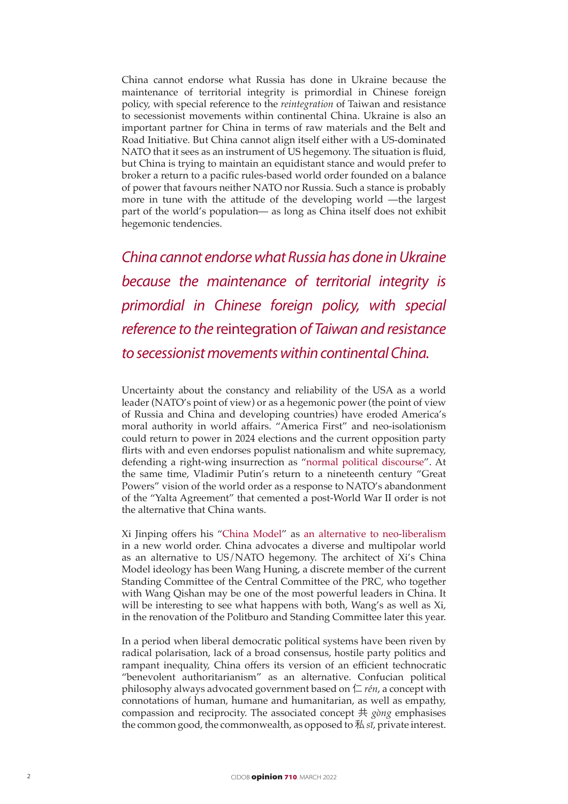China cannot endorse what Russia has done in Ukraine because the maintenance of territorial integrity is primordial in Chinese foreign policy, with special reference to the *reintegration* of Taiwan and resistance to secessionist movements within continental China. Ukraine is also an important partner for China in terms of raw materials and the Belt and Road Initiative. But China cannot align itself either with a US-dominated NATO that it sees as an instrument of US hegemony. The situation is fluid, but China is trying to maintain an equidistant stance and would prefer to broker a return to a pacific rules-based world order founded on a balance of power that favours neither NATO nor Russia. Such a stance is probably more in tune with the attitude of the developing world —the largest part of the world's population— as long as China itself does not exhibit hegemonic tendencies.

*China cannot endorse what Russia has done in Ukraine because the maintenance of territorial integrity is primordial in Chinese foreign policy, with special reference to the* reintegration *of Taiwan and resistance to secessionist movements within continental China.*

Uncertainty about the constancy and reliability of the USA as a world leader (NATO's point of view) or as a hegemonic power (the point of view of Russia and China and developing countries) have eroded America's moral authority in world affairs. "America First" and neo-isolationism could return to power in 2024 elections and the current opposition party flirts with and even endorses populist nationalism and white supremacy, defending a right-wing insurrection as ["normal political discourse"](https://www.nytimes.com/2022/02/04/us/politics/republicans-jan-6-cheney-censure.html). At the same time, Vladimir Putin's return to a nineteenth century "Great Powers" vision of the world order as a response to NATO's abandonment of the "Yalta Agreement" that cemented a post-World War II order is not the alternative that China wants.

Xi Jinping offers his "[China Model](https://www.cidob.org/es/publicaciones/serie_de_publicacion/opinion_cidob/asia/a_china_model_for_the_new_era)" as [an alternative to neo-liberalism](https://www.cidob.org/es/publicaciones/serie_de_publicacion/opinion_cidob/seguridad_y_politica_mundial/the_us_and_china_in_the_new_global_order) in a new world order. China advocates a diverse and multipolar world as an alternative to US/NATO hegemony. The architect of Xi's China Model ideology has been Wang Huning, a discrete member of the current Standing Committee of the Central Committee of the PRC, who together with Wang Qishan may be one of the most powerful leaders in China. It will be interesting to see what happens with both, Wang's as well as Xi, in the renovation of the Politburo and Standing Committee later this year.

In a period when liberal democratic political systems have been riven by radical polarisation, lack of a broad consensus, hostile party politics and rampant inequality, China offers its version of an efficient technocratic "benevolent authoritarianism" as an alternative. Confucian political philosophy always advocated government based on  $\Gamma$  *rén*, a concept with connotations of human, humane and humanitarian, as well as empathy, compassion and reciprocity. The associated concept 共 *gòng* emphasises the common good, the commonwealth, as opposed to 私 *sī*, private interest.